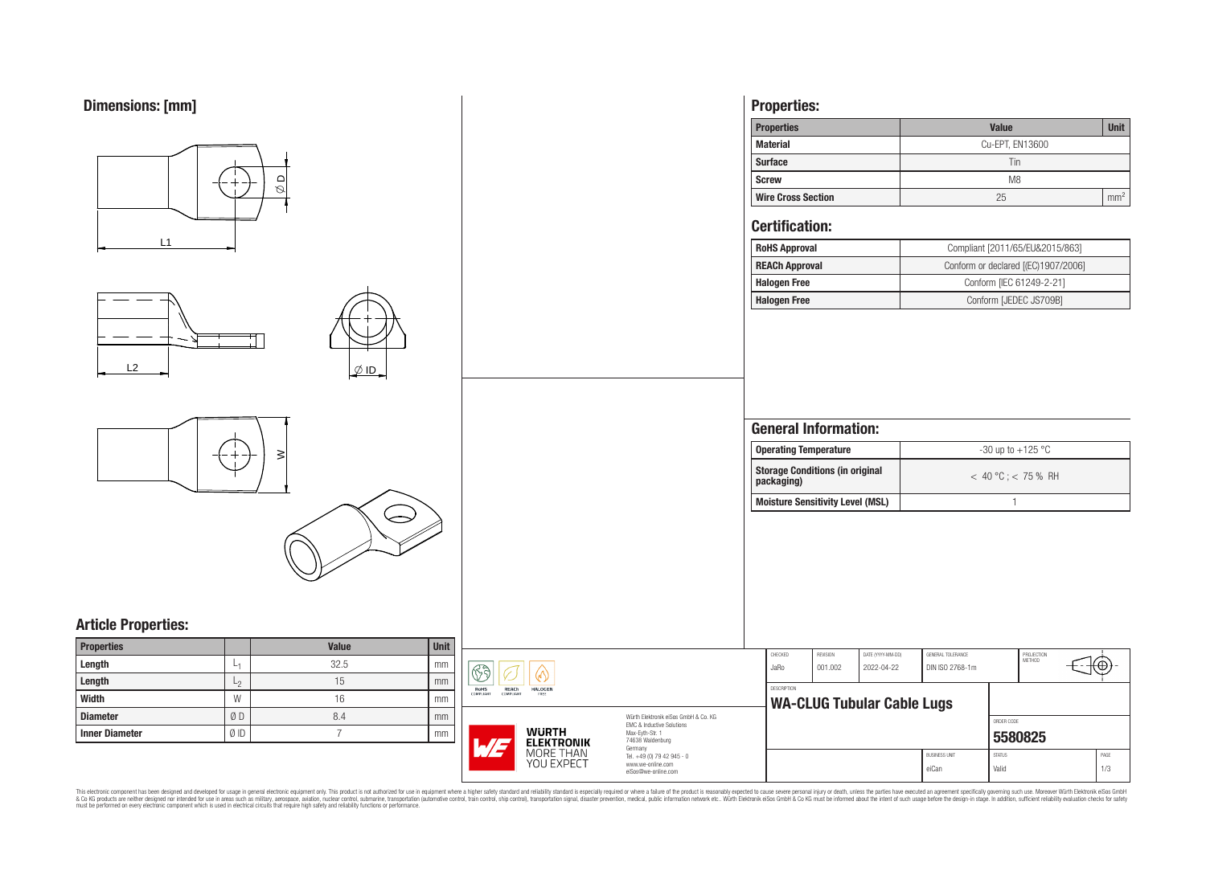

This electronic component has been designed and developed for usage in general electronic equipment only. This product is not authorized for use in equipment where a higher safely standard and reliability standard si espec & Ook product a label and the membed of the seasuch as marked and as which such a membed and the such assume that income in the seasuch and the simulation and the such assume that include to the such a membed and the such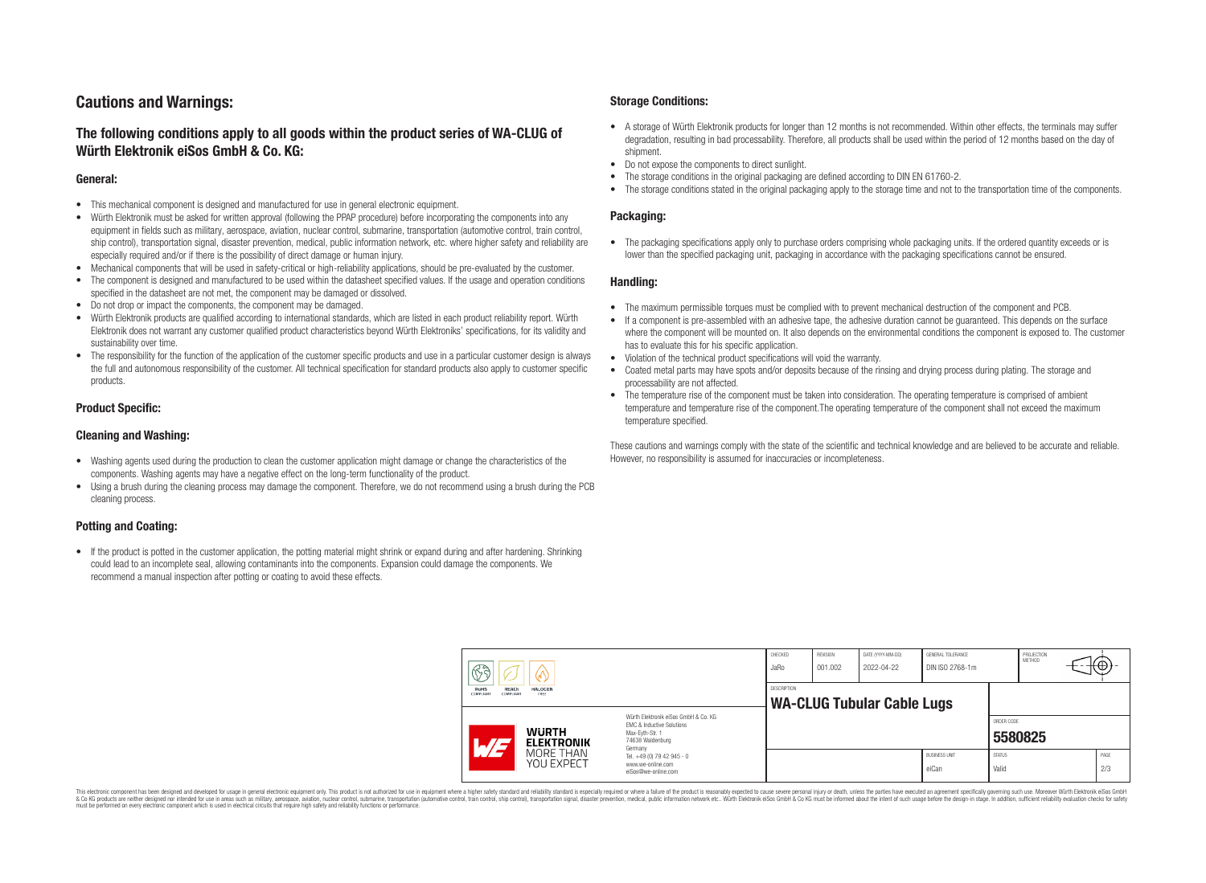# **Cautions and Warnings:**

# **The following conditions apply to all goods within the product series of WA-CLUG of Würth Elektronik eiSos GmbH & Co. KG:**

### **General:**

- This mechanical component is designed and manufactured for use in general electronic equipment.
- Würth Elektronik must be asked for written approval (following the PPAP procedure) before incorporating the components into any equipment in fields such as military, aerospace, aviation, nuclear control, submarine, transportation (automotive control, train control, ship control), transportation signal, disaster prevention, medical, public information network, etc. where higher safety and reliability are especially required and/or if there is the possibility of direct damage or human injury.
- Mechanical components that will be used in safety-critical or high-reliability applications, should be pre-evaluated by the customer.
- The component is designed and manufactured to be used within the datasheet specified values. If the usage and operation conditions specified in the datasheet are not met, the component may be damaged or dissolved.
- Do not drop or impact the components, the component may be damaged.<br>• Wirth Elektronik products are qualified according to international standard
- Würth Elektronik products are qualified according to international standards, which are listed in each product reliability report. Würth Elektronik does not warrant any customer qualified product characteristics beyond Würth Elektroniks' specifications, for its validity and sustainability over time.
- The responsibility for the function of the application of the customer specific products and use in a particular customer design is always the full and autonomous responsibility of the customer. All technical specification for standard products also apply to customer specific products.

### **Product Specific:**

### **Cleaning and Washing:**

- Washing agents used during the production to clean the customer application might damage or change the characteristics of the components. Washing agents may have a negative effect on the long-term functionality of the product.
- Using a brush during the cleaning process may damage the component. Therefore, we do not recommend using a brush during the PCB cleaning process.

## **Potting and Coating:**

• If the product is potted in the customer application, the potting material might shrink or expand during and after hardening. Shrinking could lead to an incomplete seal, allowing contaminants into the components. Expansion could damage the components. We recommend a manual inspection after potting or coating to avoid these effects.

### **Storage Conditions:**

- A storage of Würth Elektronik products for longer than 12 months is not recommended. Within other effects, the terminals may suffer degradation, resulting in bad processability. Therefore, all products shall be used within the period of 12 months based on the day of shipment.
- Do not expose the components to direct sunlight.<br>• The storage conditions in the original packaging
- The storage conditions in the original packaging are defined according to DIN EN 61760-2.
- The storage conditions stated in the original packaging apply to the storage time and not to the transportation time of the components.

### **Packaging:**

• The packaging specifications apply only to purchase orders comprising whole packaging units. If the ordered quantity exceeds or is lower than the specified packaging unit, packaging in accordance with the packaging specifications cannot be ensured.

### **Handling:**

- The maximum permissible torques must be complied with to prevent mechanical destruction of the component and PCB.
- If a component is pre-assembled with an adhesive tape, the adhesive duration cannot be guaranteed. This depends on the surface where the component will be mounted on. It also depends on the environmental conditions the component is exposed to. The customer has to evaluate this for his specific application.
- Violation of the technical product specifications will void the warranty.
- Coated metal parts may have spots and/or deposits because of the rinsing and drying process during plating. The storage and processability are not affected.
- The temperature rise of the component must be taken into consideration. The operating temperature is comprised of ambient temperature and temperature rise of the component.The operating temperature of the component shall not exceed the maximum temperature specified.

These cautions and warnings comply with the state of the scientific and technical knowledge and are believed to be accurate and reliable. However, no responsibility is assumed for inaccuracies or incompleteness.

|  | $\mathbb{R}$ a<br>V<br><b>REACh</b><br><b>RoHS</b><br><b>HALOGEN</b><br>COMPLIANT<br>COMPLIANT<br>FREE |                                                                     | CHECKED<br>JaRo                                                                                                                                                                               | <b>REVISION</b><br>001.002                       | DATE (YYYY-MM-DD)<br>2022-04-22 | GENERAL TOLERANCE<br>DIN ISO 2768-1m |                               | PROJECTION<br><b>METHOD</b> | <del>⊣t</del> ⊕+- |             |
|--|--------------------------------------------------------------------------------------------------------|---------------------------------------------------------------------|-----------------------------------------------------------------------------------------------------------------------------------------------------------------------------------------------|--------------------------------------------------|---------------------------------|--------------------------------------|-------------------------------|-----------------------------|-------------------|-------------|
|  |                                                                                                        |                                                                     |                                                                                                                                                                                               | DESCRIPTION<br><b>WA-CLUG Tubular Cable Lugs</b> |                                 |                                      |                               |                             |                   |             |
|  | $\overline{\phantom{a}}$                                                                               | <b>WURTH</b><br><b>ELEKTRONIK</b><br>MORE THAN<br><b>YOU EXPECT</b> | Würth Elektronik eiSos GmbH & Co. KG<br>EMC & Inductive Solutions<br>Max-Evth-Str. 1<br>74638 Waldenburg<br>Germany<br>Tel. +49 (0) 79 42 945 - 0<br>www.we-online.com<br>eiSos@we-online.com |                                                  |                                 |                                      |                               | ORDER CODE                  | 5580825           |             |
|  |                                                                                                        |                                                                     |                                                                                                                                                                                               |                                                  |                                 |                                      | <b>BUSINESS UNIT</b><br>eiCan | <b>STATUS</b><br>Valid      |                   | PAGE<br>2/3 |

This electronic component has been designed and developed for usage in general electronic equipment only. This product is not authorized for use in equipment where a higher safety standard and reliability standard si espec & Ook product a label and the membed of the seasuch as marked and as which such a membed and the such assume that income in the seasuch and the simulation and the such assume that include to the such a membed and the such